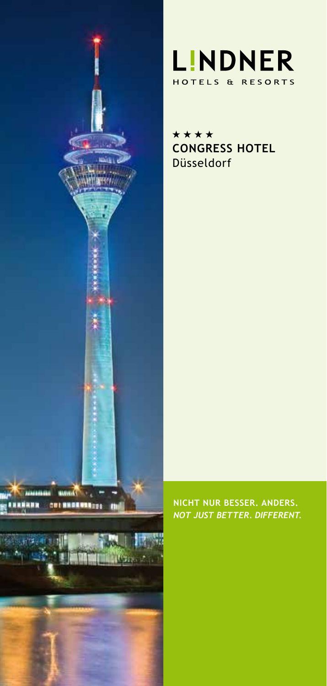



\*\*\*\* **CONGRESS HOTEL** Düsseldorf

**NICHT NUR BESSER. ANDERS.** *NOT JUST BETTER. DIFFERENT.*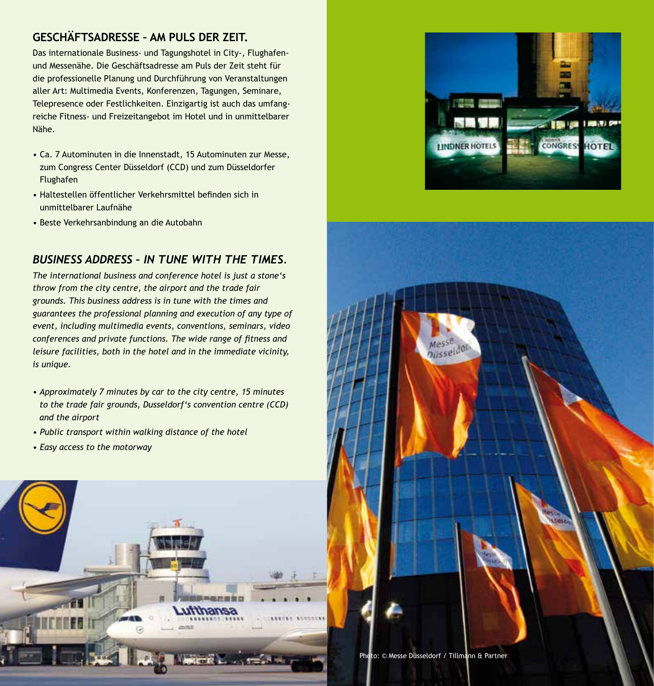# **GESCHÄFTSADRESSE – AM PULS DER ZEIT.**

Das internationale Business- und Tagungshotel in City-, Flughafenund Messenähe. Die Geschäftsadresse am Puls der Zeit steht für die professionelle Planung und Durchführung von Veranstaltungen aller Art: Multimedia Events, Konferenzen, Tagungen, Seminare, Telepresence oder Festlichkeiten. Einzigartig ist auch das umfangreiche Fitness- und Freizeitangebot im Hotel und in unmittelbarer Nähe.

- Ca. 7 Autominuten in die Innenstadt, 15 Autominuten zur Messe, zum Congress Center Düsseldorf (CCD) und zum Düsseldorfer Flughafen
- Haltestellen öffentlicher Verkehrsmittel befinden sich in unmittelbarer Laufnähe
- Beste Verkehrsanbindung an die Autobahn

# *BUSINESS ADDRESS – IN TUNE WITH THE TIMES.*

*The international business and conference hotel is just a stone's throw from the city centre, the airport and the trade fair grounds. This business address is in tune with the times and guarantees the professional planning and execution of any type of event, including multimedia events, conventions, seminars, video conferences and private functions. The wide range of fitness and leisure facilities, both in the hotel and in the immediate vicinity, is unique.* 

- *Approximately 7 minutes by car to the city centre, 15 minutes to the trade fair grounds, Dusseldorf's convention centre (CCD) and the airport*
- *Public transport within walking distance of the hotel*
- *Easy access to the motorway*







Photo: © Messe Düsseldorf / Tillmann & Partner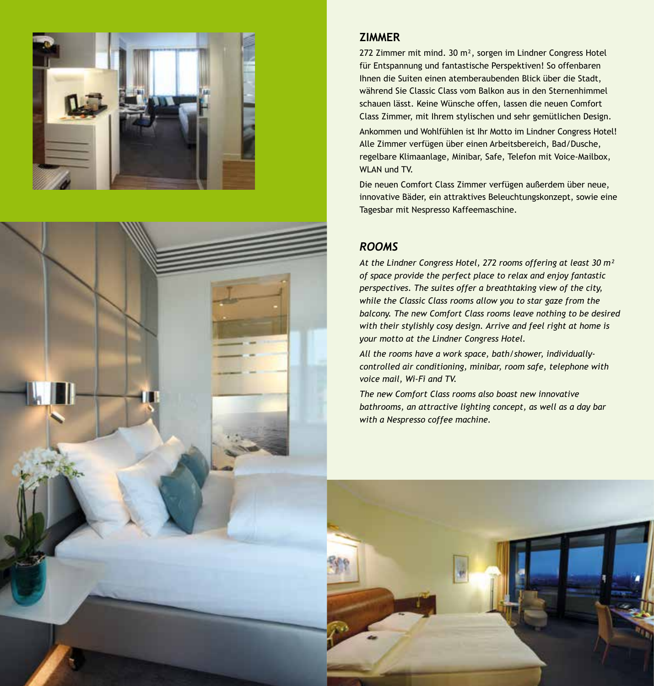

# **ZIMMER**

272 Zimmer mit mind. 30 m², sorgen im Lindner Congress Hotel für Entspannung und fantastische Perspektiven! So offenbaren Ihnen die Suiten einen atemberaubenden Blick über die Stadt, während Sie Classic Class vom Balkon aus in den Sternenhimmel schauen lässt. Keine Wünsche offen, lassen die neuen Comfort Class Zimmer, mit Ihrem stylischen und sehr gemütlichen Design.

Ankommen und Wohlfühlen ist Ihr Motto im Lindner Congress Hotel! Alle Zimmer verfügen über einen Arbeitsbereich, Bad/Dusche, regelbare Klimaanlage, Minibar, Safe, Telefon mit Voice-Mailbox, WI AN und TV.

Die neuen Comfort Class Zimmer verfügen außerdem über neue, innovative Bäder, ein attraktives Beleuchtungskonzept, sowie eine Tagesbar mit Nespresso Kaffeemaschine.

# *ROOMS*

*At the Lindner Congress Hotel, 272 rooms offering at least 30 m² of space provide the perfect place to relax and enjoy fantastic perspectives. The suites offer a breathtaking view of the city, while the Classic Class rooms allow you to star gaze from the balcony. The new Comfort Class rooms leave nothing to be desired with their stylishly cosy design. Arrive and feel right at home is your motto at the Lindner Congress Hotel.* 

*All the rooms have a work space, bath/shower, individuallycontrolled air conditioning, minibar, room safe, telephone with voice mail, Wi-Fi and TV.*

*The new Comfort Class rooms also boast new innovative bathrooms, an attractive lighting concept, as well as a day bar with a Nespresso coffee machine.*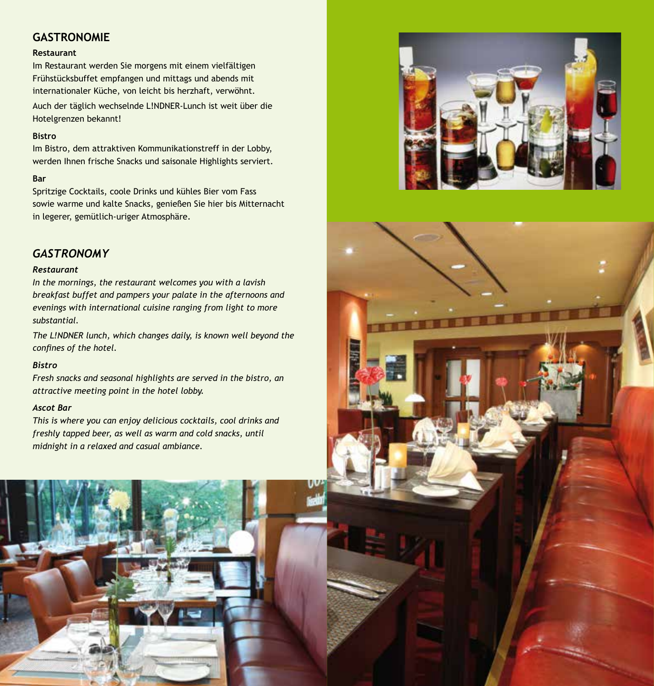# **GASTRONOMIE**

#### **Restaurant**

Im Restaurant werden Sie morgens mit einem vielfältigen Frühstücksbuffet empfangen und mittags und abends mit internationaler Küche, von leicht bis herzhaft, verwöhnt. Auch der täglich wechselnde L!NDNER-Lunch ist weit über die Hotelgrenzen bekannt!

#### **Bistro**

Im Bistro, dem attraktiven Kommunikationstreff in der Lobby, werden Ihnen frische Snacks und saisonale Highlights serviert.

#### **Bar**

Spritzige Cocktails, coole Drinks und kühles Bier vom Fass sowie warme und kalte Snacks, genießen Sie hier bis Mitternacht in legerer, gemütlich-uriger Atmosphäre.

# *GASTRONOMY*

#### *Restaurant*

*In the mornings, the restaurant welcomes you with a lavish breakfast buffet and pampers your palate in the afternoons and evenings with international cuisine ranging from light to more substantial.*

*The L!NDNER lunch, which changes daily, is known well beyond the confines of the hotel.*

### *Bistro*

*Fresh snacks and seasonal highlights are served in the bistro, an attractive meeting point in the hotel lobby.*

#### *Ascot Bar*

*This is where you can enjoy delicious cocktails, cool drinks and freshly tapped beer, as well as warm and cold snacks, until midnight in a relaxed and casual ambiance.*





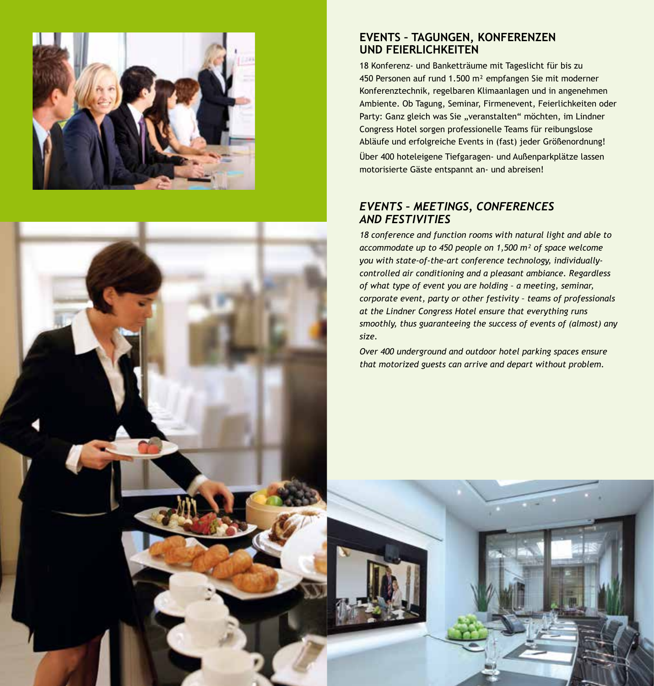



### **EVENTS – TAGUNGEN, KONFERENZEN UND FEIERLICHKEITEN**

18 Konferenz- und Banketträume mit Tageslicht für bis zu 450 Personen auf rund 1.500 m² empfangen Sie mit moderner Konferenztechnik, regelbaren Klimaanlagen und in angenehmen Ambiente. Ob Tagung, Seminar, Firmenevent, Feierlichkeiten oder Party: Ganz gleich was Sie "veranstalten" möchten, im Lindner Congress Hotel sorgen professionelle Teams für reibungslose Abläufe und erfolgreiche Events in (fast) jeder Größenordnung! Über 400 hoteleigene Tiefgaragen- und Außenparkplätze lassen motorisierte Gäste entspannt an- und abreisen!

# *EVENTS – MEETINGS, CONFERENCES AND FESTIVITIES*

*18 conference and function rooms with natural light and able to accommodate up to 450 people on 1,500 m² of space welcome you with state-of-the-art conference technology, individuallycontrolled air conditioning and a pleasant ambiance. Regardless of what type of event you are holding – a meeting, seminar, corporate event, party or other festivity – teams of professionals at the Lindner Congress Hotel ensure that everything runs smoothly, thus guaranteeing the success of events of (almost) any size.*

*Over 400 underground and outdoor hotel parking spaces ensure that motorized guests can arrive and depart without problem.*

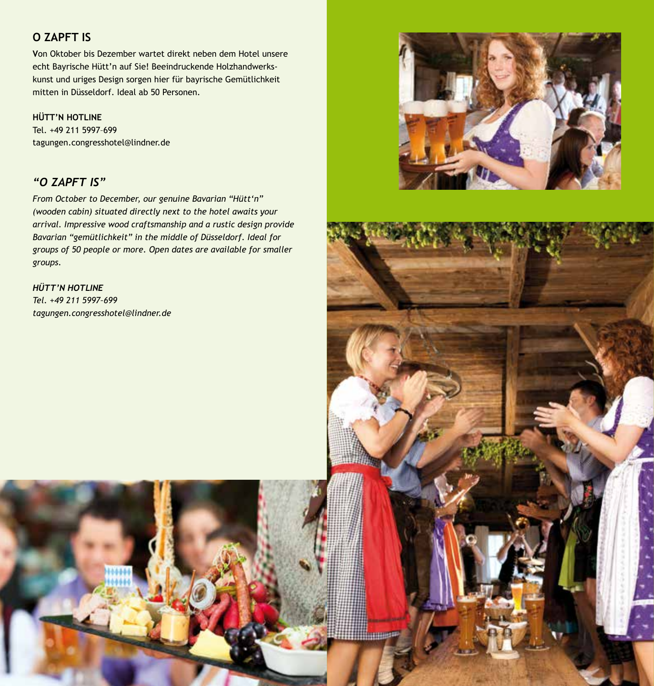# **O ZAPFT IS**

**V**on Oktober bis Dezember wartet direkt neben dem Hotel unsere echt Bayrische Hütt'n auf Sie! Beeindruckende Holzhandwerkskunst und uriges Design sorgen hier für bayrische Gemütlichkeit mitten in Düsseldorf. Ideal ab 50 Personen.

### **HÜTT'N HOTLINE**

Tel. +49 211 5997–699 tagungen.congresshotel@lindner.de

# *"O ZAPFT IS"*

*From October to December, our genuine Bavarian "Hütt'n" (wooden cabin) situated directly next to the hotel awaits your arrival. Impressive wood craftsmanship and a rustic design provide Bavarian "gemütlichkeit" in the middle of Düsseldorf. Ideal for groups of 50 people or more. Open dates are available for smaller groups.*

*HÜTT'N HOTLINE Tel. +49 211 5997–699 tagungen.congresshotel@lindner.de*





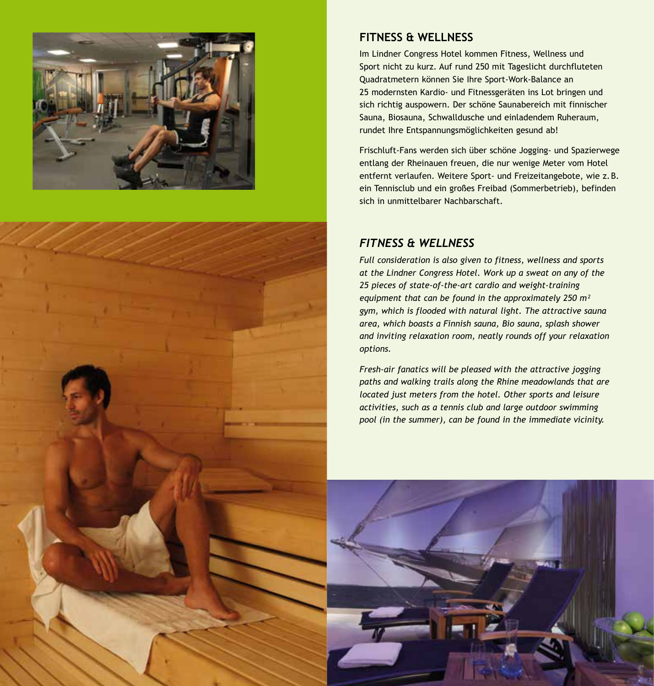



# **FITNESS & WELLNESS**

Im Lindner Congress Hotel kommen Fitness, Wellness und Sport nicht zu kurz. Auf rund 250 mit Tageslicht durchfluteten Quadratmetern können Sie Ihre Sport-Work-Balance an 25 modernsten Kardio- und Fitnessgeräten ins Lot bringen und sich richtig auspowern. Der schöne Saunabereich mit finnischer Sauna, Biosauna, Schwalldusche und einladendem Ruheraum, rundet Ihre Entspannungsmöglichkeiten gesund ab!

Frischluft-Fans werden sich über schöne Jogging- und Spazierwege entlang der Rheinauen freuen, die nur wenige Meter vom Hotel entfernt verlaufen. Weitere Sport- und Freizeitangebote, wie z.B. ein Tennisclub und ein großes Freibad (Sommerbetrieb), befinden sich in unmittelbarer Nachbarschaft.

# *FITNESS & WELLNESS*

*Full consideration is also given to fitness, wellness and sports at the Lindner Congress Hotel. Work up a sweat on any of the 25 pieces of state-of-the-art cardio and weight-training equipment that can be found in the approximately 250 m² gym, which is flooded with natural light. The attractive sauna area, which boasts a Finnish sauna, Bio sauna, splash shower and inviting relaxation room, neatly rounds off your relaxation options.*

*Fresh-air fanatics will be pleased with the attractive jogging paths and walking trails along the Rhine meadowlands that are located just meters from the hotel. Other sports and leisure activities, such as a tennis club and large outdoor swimming pool (in the summer), can be found in the immediate vicinity.*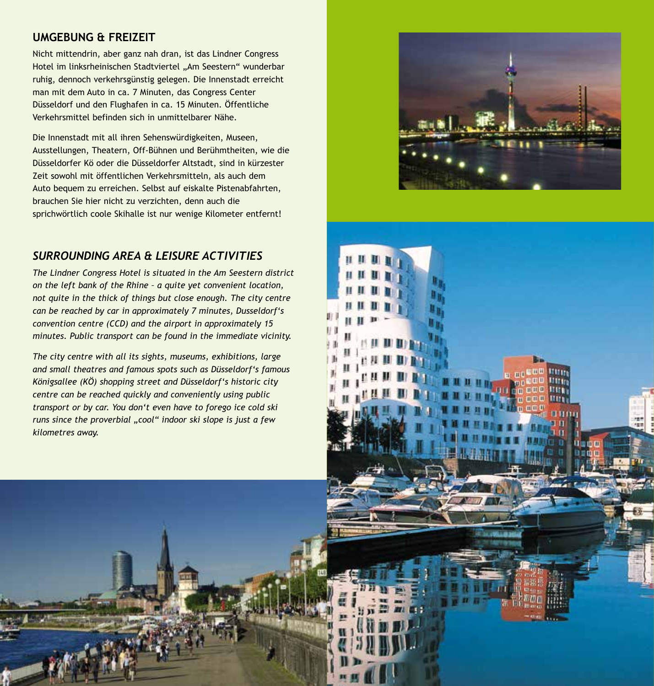## **UMGEBUNG & FREIZEIT**

Nicht mittendrin, aber ganz nah dran, ist das Lindner Congress Hotel im linksrheinischen Stadtviertel "Am Seestern" wunderbar ruhig, dennoch verkehrsgünstig gelegen. Die Innenstadt erreicht man mit dem Auto in ca. 7 Minuten, das Congress Center Düsseldorf und den Flughafen in ca. 15 Minuten. Öffentliche Verkehrsmittel befinden sich in unmittelbarer Nähe.

Die Innenstadt mit all ihren Sehenswürdigkeiten, Museen, Ausstellungen, Theatern, Off-Bühnen und Berühmtheiten, wie die Düsseldorfer Kö oder die Düsseldorfer Altstadt, sind in kürzester Zeit sowohl mit öffentlichen Verkehrsmitteln, als auch dem Auto bequem zu erreichen. Selbst auf eiskalte Pistenabfahrten, brauchen Sie hier nicht zu verzichten, denn auch die sprichwörtlich coole Skihalle ist nur wenige Kilometer entfernt!

# *SURROUNDING AREA & LEISURE ACTIVITIES*

*The Lindner Congress Hotel is situated in the Am Seestern district on the left bank of the Rhine – a quite yet convenient location, not quite in the thick of things but close enough. The city centre can be reached by car in approximately 7 minutes, Dusseldorf's convention centre (CCD) and the airport in approximately 15 minutes. Public transport can be found in the immediate vicinity.* 

*The city centre with all its sights, museums, exhibitions, large and small theatres and famous spots such as Düsseldorf's famous Königsallee (KÖ) shopping street and Düsseldorf's historic city centre can be reached quickly and conveniently using public transport or by car. You don't even have to forego ice cold ski runs since the proverbial "cool" indoor ski slope is just a few kilometres away.*